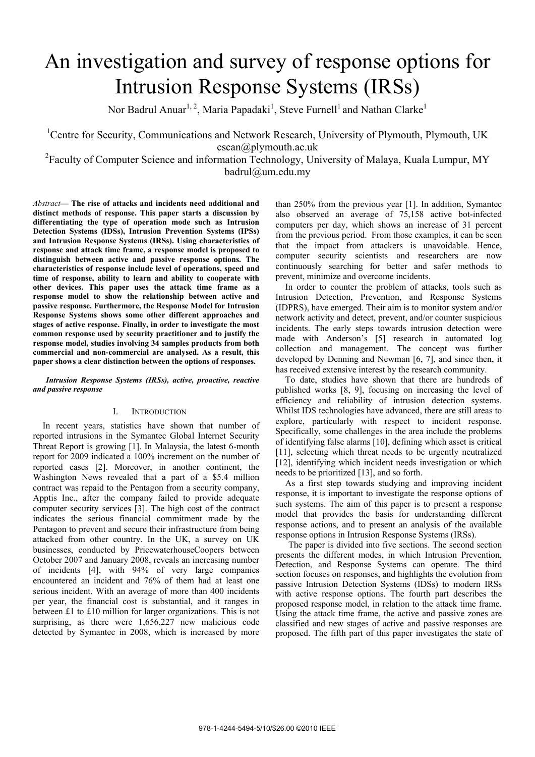# An investigation and survey of response options for Intrusion Response Systems (IRSs)

Nor Badrul Anuar<sup>1, 2</sup>, Maria Papadaki<sup>1</sup>, Steve Furnell<sup>1</sup> and Nathan Clarke<sup>1</sup>

<sup>1</sup>Centre for Security, Communications and Network Research, University of Plymouth, Plymouth, UK cscan@plymouth.ac.uk

<sup>2</sup> Faculty of Computer Science and information Technology, University of Malaya, Kuala Lumpur, MY badrul@um.edu.my

*Abstract***— The rise of attacks and incidents need additional and distinct methods of response. This paper starts a discussion by differentiating the type of operation mode such as Intrusion Detection Systems (IDSs), Intrusion Prevention Systems (IPSs) and Intrusion Response Systems (IRSs). Using characteristics of response and attack time frame, a response model is proposed to distinguish between active and passive response options. The characteristics of response include level of operations, speed and time of response, ability to learn and ability to cooperate with other devices. This paper uses the attack time frame as a response model to show the relationship between active and passive response. Furthermore, the Response Model for Intrusion Response Systems shows some other different approaches and stages of active response. Finally, in order to investigate the most common response used by security practitioner and to justify the response model, studies involving 34 samples products from both commercial and non-commercial are analysed. As a result, this paper shows a clear distinction between the options of responses.** 

*Intrusion Response Systems (IRSs), active, proactive, reactive and passive response* 

## I. INTRODUCTION

In recent years, statistics have shown that number of reported intrusions in the Symantec Global Internet Security Threat Report is growing [1]. In Malaysia, the latest 6-month report for 2009 indicated a 100% increment on the number of reported cases [2]. Moreover, in another continent, the Washington News revealed that a part of a \$5.4 million contract was repaid to the Pentagon from a security company, Apptis Inc., after the company failed to provide adequate computer security services [3]. The high cost of the contract indicates the serious financial commitment made by the Pentagon to prevent and secure their infrastructure from being attacked from other country. In the UK, a survey on UK businesses, conducted by PricewaterhouseCoopers between October 2007 and January 2008, reveals an increasing number of incidents [4], with 94% of very large companies encountered an incident and 76% of them had at least one serious incident. With an average of more than 400 incidents per year, the financial cost is substantial, and it ranges in between £1 to £10 million for larger organizations. This is not surprising, as there were  $1,656,227$  new malicious code detected by Symantec in 2008, which is increased by more

than 250% from the previous year [1]. In addition, Symantec also observed an average of 75,158 active bot-infected computers per day, which shows an increase of 31 percent from the previous period. From those examples, it can be seen that the impact from attackers is unavoidable. Hence, computer security scientists and researchers are now continuously searching for better and safer methods to prevent, minimize and overcome incidents.

In order to counter the problem of attacks, tools such as Intrusion Detection, Prevention, and Response Systems (IDPRS), have emerged. Their aim is to monitor system and/or network activity and detect, prevent, and/or counter suspicious incidents. The early steps towards intrusion detection were made with Anderson's [5] research in automated log collection and management. The concept was further developed by Denning and Newman [6, 7], and since then, it has received extensive interest by the research community.

To date, studies have shown that there are hundreds of published works [8, 9], focusing on increasing the level of efficiency and reliability of intrusion detection systems. Whilst IDS technologies have advanced, there are still areas to explore, particularly with respect to incident response. Specifically, some challenges in the area include the problems of identifying false alarms [10], defining which asset is critical [11], selecting which threat needs to be urgently neutralized [12], identifying which incident needs investigation or which needs to be prioritized [13], and so forth.

As a first step towards studying and improving incident response, it is important to investigate the response options of such systems. The aim of this paper is to present a response model that provides the basis for understanding different response actions, and to present an analysis of the available response options in Intrusion Response Systems (IRSs).

The paper is divided into five sections. The second section presents the different modes, in which Intrusion Prevention, Detection, and Response Systems can operate. The third section focuses on responses, and highlights the evolution from passive Intrusion Detection Systems (IDSs) to modern IRSs with active response options. The fourth part describes the proposed response model, in relation to the attack time frame. Using the attack time frame, the active and passive zones are classified and new stages of active and passive responses are proposed. The fifth part of this paper investigates the state of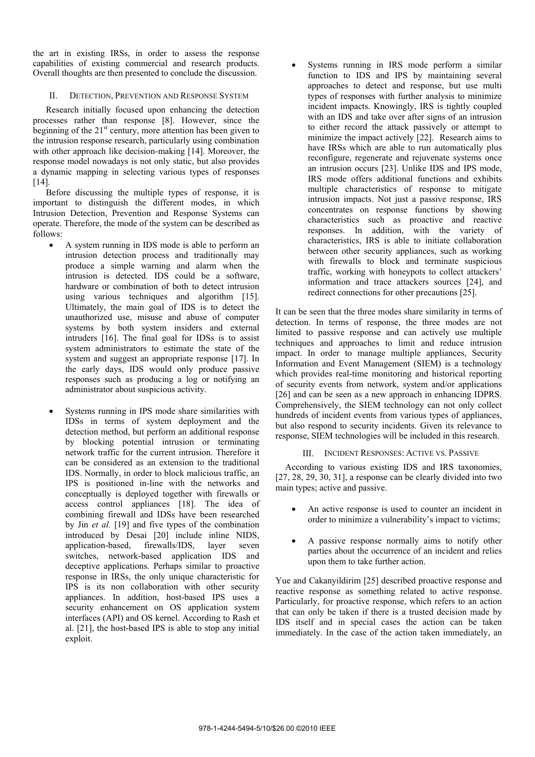the art in existing IRSs, in order to assess the response capabilities of existing commercial and research products. Overall thoughts are then presented to conclude the discussion.

# II. DETECTION, PREVENTION AND RESPONSE SYSTEM

Research initially focused upon enhancing the detection processes rather than response [8]. However, since the beginning of the  $21<sup>st</sup>$  century, more attention has been given to the intrusion response research, particularly using combination with other approach like decision-making [14]. Moreover, the response model nowadays is not only static, but also provides a dynamic mapping in selecting various types of responses [14].

Before discussing the multiple types of response, it is important to distinguish the different modes, in which Intrusion Detection, Prevention and Response Systems can operate. Therefore, the mode of the system can be described as follows:

- A system running in IDS mode is able to perform an intrusion detection process and traditionally may produce a simple warning and alarm when the intrusion is detected. IDS could be a software, hardware or combination of both to detect intrusion using various techniques and algorithm [15]. Ultimately, the main goal of IDS is to detect the unauthorized use, misuse and abuse of computer systems by both system insiders and external intruders [16]. The final goal for IDSs is to assist system administrators to estimate the state of the system and suggest an appropriate response [17]. In the early days, IDS would only produce passive responses such as producing a log or notifying an administrator about suspicious activity.
- Systems running in IPS mode share similarities with IDSs in terms of system deployment and the detection method, but perform an additional response by blocking potential intrusion or terminating network traffic for the current intrusion. Therefore it can be considered as an extension to the traditional IDS. Normally, in order to block malicious traffic, an IPS is positioned in-line with the networks and conceptually is deployed together with firewalls or access control appliances [18]. The idea of combining firewall and IDSs have been researched by Jin *et al.* [19] and five types of the combination introduced by Desai [20] include inline NIDS, application-based, firewalls/IDS, layer seven switches, network-based application IDS and deceptive applications. Perhaps similar to proactive response in IRSs, the only unique characteristic for IPS is its non collaboration with other security appliances. In addition, host-based IPS uses a security enhancement on OS application system interfaces (API) and OS kernel. According to Rash et al. [21], the host-based IPS is able to stop any initial exploit.

 Systems running in IRS mode perform a similar function to IDS and IPS by maintaining several approaches to detect and response, but use multi types of responses with further analysis to minimize incident impacts. Knowingly, IRS is tightly coupled with an IDS and take over after signs of an intrusion to either record the attack passively or attempt to minimize the impact actively [22]. Research aims to have IRSs which are able to run automatically plus reconfigure, regenerate and rejuvenate systems once an intrusion occurs [23]. Unlike IDS and IPS mode, IRS mode offers additional functions and exhibits multiple characteristics of response to mitigate intrusion impacts. Not just a passive response, IRS concentrates on response functions by showing characteristics such as proactive and reactive responses. In addition, with the variety of characteristics, IRS is able to initiate collaboration between other security appliances, such as working with firewalls to block and terminate suspicious traffic, working with honeypots to collect attackers' information and trace attackers sources [24], and redirect connections for other precautions [25].

It can be seen that the three modes share similarity in terms of detection. In terms of response, the three modes are not limited to passive response and can actively use multiple techniques and approaches to limit and reduce intrusion impact. In order to manage multiple appliances, Security Information and Event Management (SIEM) is a technology which provides real-time monitoring and historical reporting of security events from network, system and/or applications [26] and can be seen as a new approach in enhancing IDPRS. Comprehensively, the SIEM technology can not only collect hundreds of incident events from various types of appliances, but also respond to security incidents. Given its relevance to response, SIEM technologies will be included in this research.

# III. INCIDENT RESPONSES: ACTIVE VS. PASSIVE

According to various existing IDS and IRS taxonomies, [27, 28, 29, 30, 31], a response can be clearly divided into two main types; active and passive.

- An active response is used to counter an incident in order to minimize a vulnerability's impact to victims;
- A passive response normally aims to notify other parties about the occurrence of an incident and relies upon them to take further action.

Yue and Cakanyildirim [25] described proactive response and reactive response as something related to active response. Particularly, for proactive response, which refers to an action that can only be taken if there is a trusted decision made by IDS itself and in special cases the action can be taken immediately. In the case of the action taken immediately, an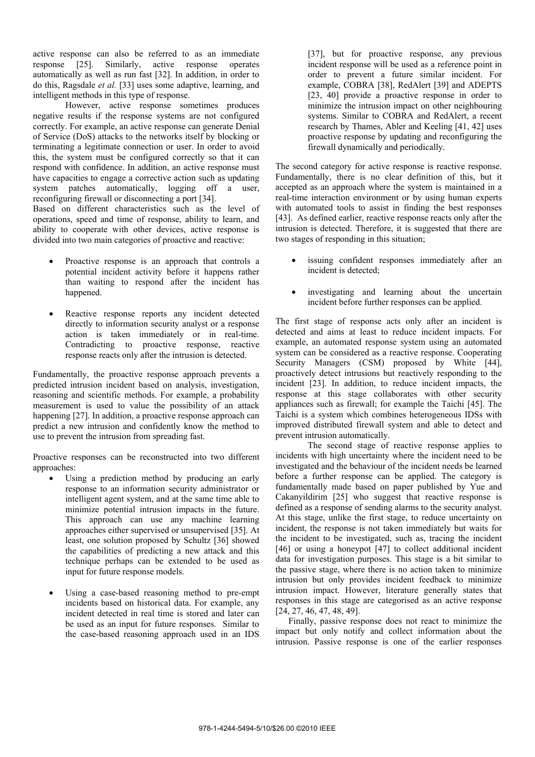active response can also be referred to as an immediate response [25]. Similarly, active response operates automatically as well as run fast [32]. In addition, in order to do this, Ragsdale *et al.* [33] uses some adaptive, learning, and intelligent methods in this type of response.

However, active response sometimes produces negative results if the response systems are not configured correctly. For example, an active response can generate Denial of Service (DoS) attacks to the networks itself by blocking or terminating a legitimate connection or user. In order to avoid this, the system must be configured correctly so that it can respond with confidence. In addition, an active response must have capacities to engage a corrective action such as updating system patches automatically, logging off a user, reconfiguring firewall or disconnecting a port [34]. Based on different characteristics such as the level of

operations, speed and time of response, ability to learn, and ability to cooperate with other devices, active response is divided into two main categories of proactive and reactive:

- Proactive response is an approach that controls a potential incident activity before it happens rather than waiting to respond after the incident has happened.
- Reactive response reports any incident detected directly to information security analyst or a response action is taken immediately or in real-time. Contradicting to proactive response, reactive response reacts only after the intrusion is detected.

Fundamentally, the proactive response approach prevents a predicted intrusion incident based on analysis, investigation, reasoning and scientific methods. For example, a probability measurement is used to value the possibility of an attack happening [27]. In addition, a proactive response approach can predict a new intrusion and confidently know the method to use to prevent the intrusion from spreading fast.

Proactive responses can be reconstructed into two different approaches:

- Using a prediction method by producing an early response to an information security administrator or intelligent agent system, and at the same time able to minimize potential intrusion impacts in the future. This approach can use any machine learning approaches either supervised or unsupervised [35]. At least, one solution proposed by Schultz [36] showed the capabilities of predicting a new attack and this technique perhaps can be extended to be used as input for future response models.
- Using a case-based reasoning method to pre-empt incidents based on historical data. For example, any incident detected in real time is stored and later can be used as an input for future responses. Similar to the case-based reasoning approach used in an IDS

[37], but for proactive response, any previous incident response will be used as a reference point in order to prevent a future similar incident. For example, COBRA [38], RedAlert [39] and ADEPTS [23, 40] provide a proactive response in order to minimize the intrusion impact on other neighbouring systems. Similar to COBRA and RedAlert, a recent research by Thames, Abler and Keeling [41, 42] uses proactive response by updating and reconfiguring the firewall dynamically and periodically.

The second category for active response is reactive response. Fundamentally, there is no clear definition of this, but it accepted as an approach where the system is maintained in a real-time interaction environment or by using human experts with automated tools to assist in finding the best responses [43]. As defined earlier, reactive response reacts only after the intrusion is detected. Therefore, it is suggested that there are two stages of responding in this situation;

- issuing confident responses immediately after an incident is detected;
- investigating and learning about the uncertain incident before further responses can be applied.

The first stage of response acts only after an incident is detected and aims at least to reduce incident impacts. For example, an automated response system using an automated system can be considered as a reactive response. Cooperating Security Managers (CSM) proposed by White [44], proactively detect intrusions but reactively responding to the incident [23]. In addition, to reduce incident impacts, the response at this stage collaborates with other security appliances such as firewall; for example the Taichi [45]. The Taichi is a system which combines heterogeneous IDSs with improved distributed firewall system and able to detect and prevent intrusion automatically.

The second stage of reactive response applies to incidents with high uncertainty where the incident need to be investigated and the behaviour of the incident needs be learned before a further response can be applied. The category is fundamentally made based on paper published by Yue and Cakanyildirim [25] who suggest that reactive response is defined as a response of sending alarms to the security analyst. At this stage, unlike the first stage, to reduce uncertainty on incident, the response is not taken immediately but waits for the incident to be investigated, such as, tracing the incident [46] or using a honeypot [47] to collect additional incident data for investigation purposes. This stage is a bit similar to the passive stage, where there is no action taken to minimize intrusion but only provides incident feedback to minimize intrusion impact. However, literature generally states that responses in this stage are categorised as an active response [24, 27, 46, 47, 48, 49].

Finally, passive response does not react to minimize the impact but only notify and collect information about the intrusion. Passive response is one of the earlier responses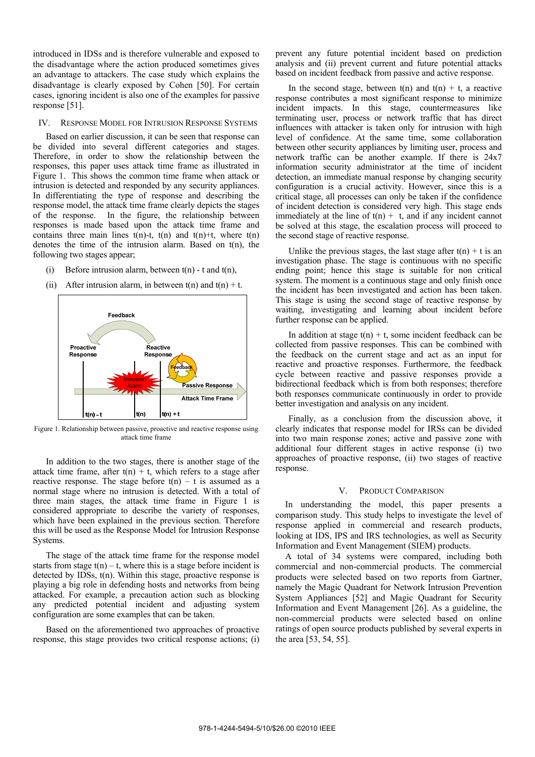introduced in IDSs and is therefore vulnerable and exposed to the disadvantage where the action produced sometimes gives an advantage to attackers. The case study which explains the disadvantage is clearly exposed by Cohen [50]. For certain cases, ignoring incident is also one of the examples for passive response [51].

### IV. RESPONSE MODEL FOR INTRUSION RESPONSE SYSTEMS

Based on earlier discussion, it can be seen that response can be divided into several different categories and stages. Therefore, in order to show the relationship between the responses, this paper uses attack time frame as illustrated in Figure 1. This shows the common time frame when attack or intrusion is detected and responded by any security appliances. In differentiating the type of response and describing the response model, the attack time frame clearly depicts the stages of the response. In the figure, the relationship between responses is made based upon the attack time frame and contains three main lines  $t(n)-t$ ,  $t(n)$  and  $t(n)+t$ , where  $t(n)$ denotes the time of the intrusion alarm. Based on t(n), the following two stages appear;

- (i) Before intrusion alarm, between  $t(n)$  t and  $t(n)$ ,
- (ii) After intrusion alarm, in between  $t(n)$  and  $t(n) + t$ .



Figure 1. Relationship between passive, proactive and reactive response using attack time frame

In addition to the two stages, there is another stage of the attack time frame, after  $t(n) + t$ , which refers to a stage after reactive response. The stage before  $t(n) - t$  is assumed as a normal stage where no intrusion is detected. With a total of three main stages, the attack time frame in Figure 1 is considered appropriate to describe the variety of responses, which have been explained in the previous section. Therefore this will be used as the Response Model for Intrusion Response Systems.

The stage of the attack time frame for the response model starts from stage  $t(n) - t$ , where this is a stage before incident is detected by IDSs, t(n). Within this stage, proactive response is playing a big role in defending hosts and networks from being attacked. For example, a precaution action such as blocking any predicted potential incident and adjusting system configuration are some examples that can be taken.

Based on the aforementioned two approaches of proactive response, this stage provides two critical response actions; (i) prevent any future potential incident based on prediction analysis and (ii) prevent current and future potential attacks based on incident feedback from passive and active response.

In the second stage, between  $t(n)$  and  $t(n) + t$ , a reactive response contributes a most significant response to minimize incident impacts. In this stage, countermeasures like terminating user, process or network traffic that has direct influences with attacker is taken only for intrusion with high level of confidence. At the same time, some collaboration between other security appliances by limiting user, process and network traffic can be another example. If there is 24x7 information security administrator at the time of incident detection, an immediate manual response by changing security configuration is a crucial activity. However, since this is a critical stage, all processes can only be taken if the confidence of incident detection is considered very high. This stage ends immediately at the line of  $t(n) + t$ , and if any incident cannot be solved at this stage, the escalation process will proceed to the second stage of reactive response.

Unlike the previous stages, the last stage after  $t(n) + t$  is an investigation phase. The stage is continuous with no specific ending point; hence this stage is suitable for non critical system. The moment is a continuous stage and only finish once the incident has been investigated and action has been taken. This stage is using the second stage of reactive response by waiting, investigating and learning about incident before further response can be applied.

In addition at stage  $t(n) + t$ , some incident feedback can be collected from passive responses. This can be combined with the feedback on the current stage and act as an input for reactive and proactive responses. Furthermore, the feedback cycle between reactive and passive responses provide a bidirectional feedback which is from both responses; therefore both responses communicate continuously in order to provide better investigation and analysis on any incident.

Finally, as a conclusion from the discussion above, it clearly indicates that response model for IRSs can be divided into two main response zones; active and passive zone with additional four different stages in active response (i) two approaches of proactive response, (ii) two stages of reactive response.

## V. PRODUCT COMPARISON

In understanding the model, this paper presents a comparison study. This study helps to investigate the level of response applied in commercial and research products, looking at IDS, IPS and IRS technologies, as well as Security Information and Event Management (SIEM) products.

A total of 34 systems were compared, including both commercial and non-commercial products. The commercial products were selected based on two reports from Gartner, namely the Magic Quadrant for Network Intrusion Prevention System Appliances [52] and Magic Quadrant for Security Information and Event Management [26]. As a guideline, the non-commercial products were selected based on online ratings of open source products published by several experts in the area [53, 54, 55].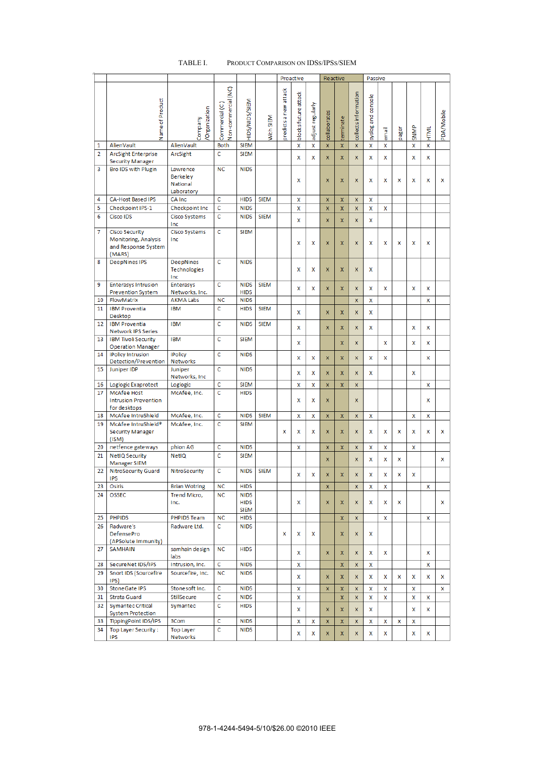# TABLE I. PRODUCT COMPARISON ON IDSS/IPSS/SIEM

|                |                                                                                |                                                |                                       |                                           |             |                       | Proactive            |                  |              | Reactive  |                      |                    | Passive |       |             |             |            |
|----------------|--------------------------------------------------------------------------------|------------------------------------------------|---------------------------------------|-------------------------------------------|-------------|-----------------------|----------------------|------------------|--------------|-----------|----------------------|--------------------|---------|-------|-------------|-------------|------------|
|                | Name of Product                                                                | Organization<br>Company                        | Non-commercial (NC)<br>Commercial (C) | HIDS/NIDS/SIEM                            | With SIEM   | predicts a new attack | blocks future attack | adjust regularly | collaborates | terminate | collects information | syslog and console | email   | pager | <b>SNMP</b> | <b>HTML</b> | PDA/Mobile |
| 1              | AlienVault                                                                     | AlienVault                                     | <b>Both</b>                           | <b>SIEM</b>                               |             |                       | x                    | X                | X            | X         | X                    | Χ                  | x       |       | X           | x           |            |
| $\overline{2}$ | <b>ArcSight Enterprise</b><br><b>Security Manager</b>                          | ArcSight                                       | Ċ                                     | <b>SIEM</b>                               |             |                       | x                    | X                | X            | X         | X                    | x                  | x       |       | x           | x           |            |
| 3              | Bro IDS with Plugin                                                            | Lawrence<br>Berkeley<br>National<br>Laboratory | <b>NC</b>                             | <b>NIDS</b>                               |             |                       | x                    |                  | X            | X         | X                    | x                  | x       | X     | x           | x           | x          |
| 4              | <b>CA-Host Based IPS</b>                                                       | CA Inc                                         | Ċ                                     | <b>HIDS</b>                               | <b>SIEM</b> |                       | x                    |                  | X            | X         | X                    | x                  |         |       |             |             |            |
| 5              | Checkpoint IPS-1                                                               | Checkpoint Inc                                 | Ċ                                     | <b>NIDS</b>                               |             |                       | x                    |                  | X            | X         | X.                   | X                  | x       |       |             |             |            |
| 6              | <b>Cisco IDS</b>                                                               | <b>Cisco Systems</b><br>Inc                    | Ċ                                     | <b>NIDS</b>                               | <b>SIEM</b> |                       | x                    |                  | X            | X         | X                    | x                  |         |       |             |             |            |
| 7              | <b>Cisco Security</b><br>Monitoring, Analysis<br>and Response System<br>(MARS) | Cisco Systems<br>Inc                           | Ċ                                     | <b>SIEM</b>                               |             |                       | x                    | X                | X            | X         | X                    | X                  | x       | x     | X           | x           |            |
| 8              | <b>DeepNines IPS</b>                                                           | <b>DeepNines</b><br><b>Technologies</b><br>Inc | Ċ                                     | <b>NIDS</b>                               |             |                       | x                    | X                | X            | X         | X                    | x                  |         |       |             |             |            |
| 9              | <b>Enterasys Intrusion</b><br><b>Prevention System</b>                         | <b>Enterasys</b><br>Networks, Inc.             | Ċ                                     | <b>NIDS</b><br><b>HIDS</b>                | <b>SIEM</b> |                       | x                    | X                | X            | X         | x                    | x                  | x       |       | x           | x           |            |
| 10             | FlowMatrix                                                                     | <b>AKMA Labs</b>                               | <b>NC</b>                             | <b>NIDS</b>                               |             |                       |                      |                  |              |           | x                    | x                  |         |       |             | x           |            |
| 11             | <b>IBM Proventia</b><br><b>Desktop</b>                                         | <b>IBM</b>                                     | Ċ                                     | <b>HIDS</b>                               | <b>SIEM</b> |                       | x                    |                  | x            | X         | x                    | x                  |         |       |             |             |            |
| 12             | <b>IBM Proventia</b><br>Network IPS Series                                     | <b>IBM</b>                                     | Ċ                                     | <b>NIDS</b>                               | <b>SIEM</b> |                       | x                    |                  | X            | X         | x                    | x                  |         |       | X           | X           |            |
| 13             | <b>IBM Tivoli Security</b><br><b>Operation Manager</b>                         | <b>IBM</b>                                     | Ċ                                     | <b>SIEM</b>                               |             |                       | x                    |                  |              | X         | X                    |                    | x       |       | X           | x           |            |
| 14             | iPolicy Intrusion<br>Detection/Prevention                                      | iPolicy<br>Networks                            | Ċ                                     | <b>NIDS</b>                               |             |                       | x                    | x                | x            | X         | X                    | x                  | x       |       |             | x           |            |
| 15             | Juniper IDP                                                                    | Juniper<br>Networks, Inc                       | Ċ                                     | <b>NIDS</b>                               |             |                       | x                    | X                | X            | X         | X                    | x                  |         |       | x           |             |            |
| 16             | Loglogic Exaprotect                                                            | Loglogic                                       | c                                     | <b>SIEM</b>                               |             |                       | x                    | X                | X            | X         | X                    |                    |         |       |             | X           |            |
| 17             | <b>McAfee Host</b><br><b>Intrusion Prevention</b><br>for desktops              | McAfee, Inc.                                   | Ċ                                     | <b>HIDS</b>                               |             |                       | x                    | x                | x            |           | X                    |                    |         |       |             | x           |            |
| 18             | McAfee IntruShield                                                             | McAfee, Inc.                                   | Ċ                                     | <b>NIDS</b>                               | <b>SIEM</b> |                       | x                    | X                | X.           | X         | X.                   | x                  |         |       | x           | x           |            |
| 19             | McAfee IntruShield®<br><b>Security Manager</b><br>(ISM)                        | McAfee, Inc.                                   | Ċ                                     | <b>SIEM</b>                               |             | x                     | x                    | x                | X            | X         | X                    | x                  | x       | x     | x           | X           | Χ          |
| 20             | netfence gateways                                                              | phion AG                                       | c                                     | <b>NIDS</b>                               |             |                       | x                    |                  | X            | X         | x                    | x                  | x       |       | x           |             |            |
| 21             | NetIQ Security<br><b>Manager SIEM</b>                                          | <b>NetIQ</b>                                   | Ċ                                     | <b>SIEM</b>                               |             |                       |                      |                  | X            |           | X                    | x                  | x       | x     |             |             | x          |
| 22             | <b>NitroSecurity Guard</b><br><b>IPS</b>                                       | NitroSecurity                                  | Ċ                                     | <b>NIDS</b>                               | <b>SIEM</b> |                       | X                    | X                | x            | X         | x                    | x                  | X       | x     | x           |             |            |
| 23             | Osiris                                                                         | <b>Brian Wotring</b>                           | <b>NC</b>                             | <b>HIDS</b>                               |             |                       |                      |                  | x            |           | X                    | x                  | x       |       |             | x           |            |
| 24             | <b>OSSEC</b>                                                                   | Trend Micro,<br>Inc.                           | <b>NC</b>                             | <b>NIDS</b><br><b>HIDS</b><br><b>SIEM</b> |             |                       | x                    |                  | x            | x         | x                    | x                  | x       | x     |             |             | x          |
| 25             | <b>PHPIDS</b>                                                                  | <b>PHPIDS Team</b>                             | <b>NC</b>                             | <b>HIDS</b>                               |             |                       |                      |                  |              | x         | X.                   |                    | x       |       |             | x           |            |
| 26             | Radware's<br>DefensePro<br>(APSolute Immunity)                                 | Radware Ltd.                                   | c                                     | <b>NIDS</b>                               |             | x                     | x                    | x                |              | X         | x                    | x                  |         |       |             |             |            |
| 27             | <b>SAMHAIN</b>                                                                 | samhain design<br>labs                         | <b>NC</b>                             | <b>HIDS</b>                               |             |                       | x                    |                  | X            | X         | x                    | x                  | x       |       |             | x           |            |
| 28             | SecureNet IDS/IPS                                                              | Intrusion, Inc.                                | c                                     | <b>NIDS</b>                               |             |                       | x                    |                  |              | X         | x                    | x                  |         |       |             | x           |            |
| 29             | Snort IDS (Sourcefire<br>IPS)                                                  | Sourcefire, Inc.                               | <b>NC</b>                             | <b>NIDS</b>                               |             |                       | x                    |                  | x            | X         | x                    | x                  | x       | x     | x           | x           | x          |
| 30             | StoneGate IPS                                                                  | Stonesoft Inc.                                 | c                                     | <b>NIDS</b>                               |             |                       | x                    |                  | X.           | x         | x                    | х                  | х       |       | x           |             | x          |
| 31             | Strata Guard                                                                   | StillSecure                                    | c                                     | <b>NIDS</b>                               |             |                       | x                    |                  |              | X         | x                    | X                  | x       |       | X           | x           |            |
| 32             | <b>Symantec Critical</b><br><b>System Protection</b>                           | Symantec                                       | c                                     | <b>HIDS</b>                               |             |                       | x                    |                  | x            | X         | x                    | x                  |         |       | x           | x           |            |
| 33             | TippingPoint IDS/IPS                                                           | 3Com                                           | c                                     | <b>NIDS</b>                               |             |                       | x                    | x                | x            | X         | x                    | x                  | x       | x     | x           |             |            |
| 34             | <b>Top Layer Security:</b><br><b>IPS</b>                                       | <b>Top Layer</b><br>Networks                   | c                                     | <b>NIDS</b>                               |             |                       | x                    | X                | X            | X         | x                    | x                  | x       |       | x           | x           |            |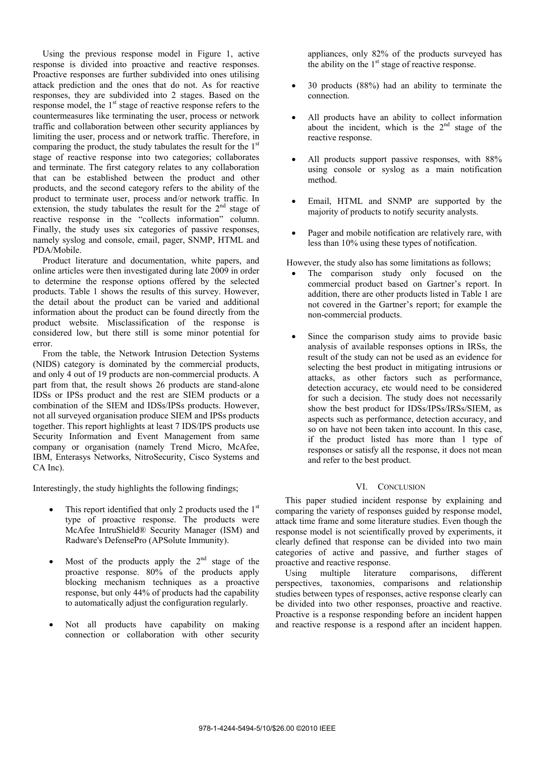Using the previous response model in Figure 1, active response is divided into proactive and reactive responses. Proactive responses are further subdivided into ones utilising attack prediction and the ones that do not. As for reactive responses, they are subdivided into 2 stages. Based on the response model, the 1<sup>st</sup> stage of reactive response refers to the countermeasures like terminating the user, process or network traffic and collaboration between other security appliances by limiting the user, process and or network traffic. Therefore, in comparing the product, the study tabulates the result for the 1<sup>st</sup> stage of reactive response into two categories; collaborates and terminate. The first category relates to any collaboration that can be established between the product and other products, and the second category refers to the ability of the product to terminate user, process and/or network traffic. In extension, the study tabulates the result for the  $2<sup>nd</sup>$  stage of reactive response in the "collects information" column. Finally, the study uses six categories of passive responses, namely syslog and console, email, pager, SNMP, HTML and PDA/Mobile.

Product literature and documentation, white papers, and online articles were then investigated during late 2009 in order to determine the response options offered by the selected products. Table 1 shows the results of this survey. However, the detail about the product can be varied and additional information about the product can be found directly from the product website. Misclassification of the response is considered low, but there still is some minor potential for error.

From the table, the Network Intrusion Detection Systems (NIDS) category is dominated by the commercial products, and only 4 out of 19 products are non-commercial products. A part from that, the result shows 26 products are stand-alone IDSs or IPSs product and the rest are SIEM products or a combination of the SIEM and IDSs/IPSs products. However, not all surveyed organisation produce SIEM and IPSs products together. This report highlights at least 7 IDS/IPS products use Security Information and Event Management from same company or organisation (namely Trend Micro, McAfee, IBM, Enterasys Networks, NitroSecurity, Cisco Systems and CA Inc).

Interestingly, the study highlights the following findings;

- This report identified that only 2 products used the  $1<sup>st</sup>$ type of proactive response. The products were McAfee IntruShield® Security Manager (ISM) and Radware's DefensePro (APSolute Immunity).
- Most of the products apply the  $2<sup>nd</sup>$  stage of the proactive response. 80% of the products apply blocking mechanism techniques as a proactive response, but only 44% of products had the capability to automatically adjust the configuration regularly.
- Not all products have capability on making connection or collaboration with other security

appliances, only 82% of the products surveyed has the ability on the  $1<sup>st</sup>$  stage of reactive response.

- 30 products (88%) had an ability to terminate the connection.
- All products have an ability to collect information about the incident, which is the  $2<sup>nd</sup>$  stage of the reactive response.
- All products support passive responses, with  $88\%$ using console or syslog as a main notification method.
- Email, HTML and SNMP are supported by the majority of products to notify security analysts.
- Pager and mobile notification are relatively rare, with less than 10% using these types of notification.

However, the study also has some limitations as follows;

- The comparison study only focused on the commercial product based on Gartner's report. In addition, there are other products listed in Table 1 are not covered in the Gartner's report; for example the non-commercial products.
- Since the comparison study aims to provide basic analysis of available responses options in IRSs, the result of the study can not be used as an evidence for selecting the best product in mitigating intrusions or attacks, as other factors such as performance, detection accuracy, etc would need to be considered for such a decision. The study does not necessarily show the best product for IDSs/IPSs/IRSs/SIEM, as aspects such as performance, detection accuracy, and so on have not been taken into account. In this case, if the product listed has more than 1 type of responses or satisfy all the response, it does not mean and refer to the best product.

# VI. CONCLUSION

This paper studied incident response by explaining and comparing the variety of responses guided by response model, attack time frame and some literature studies. Even though the response model is not scientifically proved by experiments, it clearly defined that response can be divided into two main categories of active and passive, and further stages of proactive and reactive response.

Using multiple literature comparisons, different perspectives, taxonomies, comparisons and relationship studies between types of responses, active response clearly can be divided into two other responses, proactive and reactive. Proactive is a response responding before an incident happen and reactive response is a respond after an incident happen.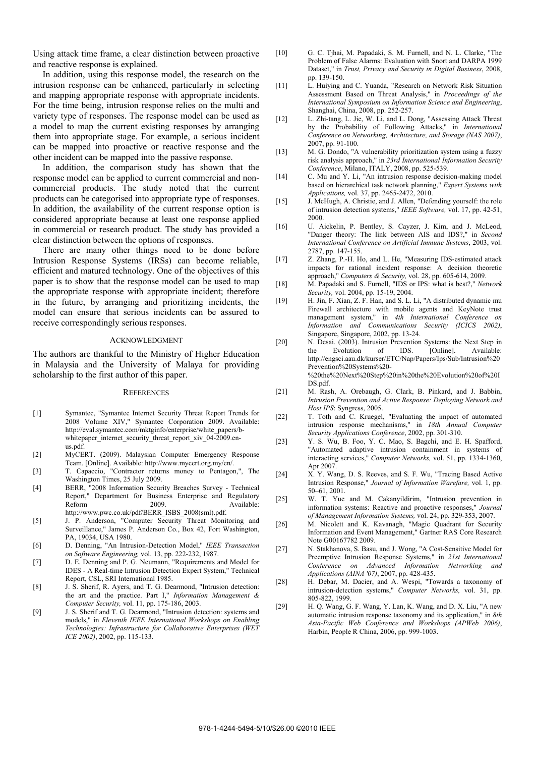Using attack time frame, a clear distinction between proactive and reactive response is explained.

In addition, using this response model, the research on the intrusion response can be enhanced, particularly in selecting and mapping appropriate response with appropriate incidents. For the time being, intrusion response relies on the multi and variety type of responses. The response model can be used as a model to map the current existing responses by arranging them into appropriate stage. For example, a serious incident can be mapped into proactive or reactive response and the other incident can be mapped into the passive response.

In addition, the comparison study has shown that the response model can be applied to current commercial and noncommercial products. The study noted that the current products can be categorised into appropriate type of responses. In addition, the availability of the current response option is considered appropriate because at least one response applied in commercial or research product. The study has provided a clear distinction between the options of responses.

There are many other things need to be done before Intrusion Response Systems (IRSs) can become reliable, efficient and matured technology. One of the objectives of this paper is to show that the response model can be used to map the appropriate response with appropriate incident; therefore in the future, by arranging and prioritizing incidents, the model can ensure that serious incidents can be assured to receive correspondingly serious responses.

#### ACKNOWLEDGMENT

The authors are thankful to the Ministry of Higher Education in Malaysia and the University of Malaya for providing scholarship to the first author of this paper.

#### **REFERENCES**

- [1] Symantec, "Symantec Internet Security Threat Report Trends for 2008 Volume XIV," Symantec Corporation 2009. Available: http://eval.symantec.com/mktginfo/enterprise/white\_papers/bwhitepaper\_internet\_security\_threat\_report\_xiv\_04-2009.enus.pdf.
- [2] MyCERT. (2009). Malaysian Computer Emergency Response Team. [Online]. Available: http://www.mycert.org.my/en/.
- [3] T. Capaccio, "Contractor returns money to Pentagon,", The Washington Times, 25 July 2009.
- [4] BERR, "2008 Information Security Breaches Survey Technical Report," Department for Business Enterprise and Regulatory Reform 2009. Available: http://www.pwc.co.uk/pdf/BERR\_ISBS\_2008(sml).pdf.
- [5] J. P. Anderson, "Computer Security Threat Monitoring and Surveillance," James P. Anderson Co., Box 42, Fort Washington, PA, 19034, USA 1980.
- [6] D. Denning, "An Intrusion-Detection Model," *IEEE Transaction on Software Engineering,* vol. 13, pp. 222-232, 1987.
- [7] D. E. Denning and P. G. Neumann, "Requirements and Model for IDES - A Real-time Intrusion Detection Expert System," Technical Report, CSL, SRI International 1985.
- [8] J. S. Sherif, R. Ayers, and T. G. Dearmond, "Intrusion detection: the art and the practice. Part I," *Information Management & Computer Security,* vol. 11, pp. 175-186, 2003.
- [9] J. S. Sherif and T. G. Dearmond, "Intrusion detection: systems and models," in *Eleventh IEEE International Workshops on Enabling Technologies: Infrastructure for Collaborative Enterprises (WET ICE 2002)*, 2002, pp. 115-133.
- [10] G. C. Tjhai, M. Papadaki, S. M. Furnell, and N. L. Clarke, "The Problem of False Alarms: Evaluation with Snort and DARPA 1999 Dataset," in *Trust, Privacy and Security in Digital Business*, 2008, pp. 139-150.
- [11] L. Huiying and C. Yuanda, "Research on Network Risk Situation Assessment Based on Threat Analysis," in *Proceedings of the International Symposium on Information Science and Engineering*, Shanghai, China, 2008, pp. 252-257.
- [12] L. Zhi-tang, L. Jie, W. Li, and L. Dong, "Assessing Attack Threat by the Probability of Following Attacks," in *International Conference on Networking, Architecture, and Storage (NAS 2007)*, 2007, pp. 91-100.
- [13] M. G. Dondo, "A vulnerability prioritization system using a fuzzy risk analysis approach," in *23rd International Information Security Conference*, Milano, ITALY, 2008, pp. 525-539.
- [14] C. Mu and Y. Li, "An intrusion response decision-making model based on hierarchical task network planning," *Expert Systems with Applications,* vol. 37, pp. 2465-2472, 2010.
- [15] J. McHugh, A. Christie, and J. Allen, "Defending yourself: the role of intrusion detection systems," *IEEE Software,* vol. 17, pp. 42-51, 2000.
- [16] U. Aickelin, P. Bentley, S. Cayzer, J. Kim, and J. McLeod, "Danger theory: The link between AIS and IDS?," in *Second International Conference on Artificial Immune Systems*, 2003, vol. 2787, pp. 147-155.
- [17] Z. Zhang, P.-H. Ho, and L. He, "Measuring IDS-estimated attack impacts for rational incident response: A decision theoretic approach," *Computers & Security,* vol. 28, pp. 605-614, 2009.
- [18] M. Papadaki and S. Furnell, "IDS or IPS: what is best?," *Network Security,* vol. 2004, pp. 15-19, 2004.
- [19] H. Jin, F. Xian, Z. F. Han, and S. L. Li, "A distributed dynamic mu Firewall architecture with mobile agents and KeyNote trust management system," in *4th International Conference on Information and Communications Security (ICICS 2002)*, Singapore, Singapore, 2002, pp. 13-24.
- [20] N. Desai. (2003). Intrusion Prevention Systems: the Next Step in the Evolution of IDS. [Online]. Available: http://engsci.aau.dk/kurser/ETC/Nap/Papers/Ips/Sub/Intrusion%20 Prevention%20Systems%20- %20the%20Next%20Step%20in%20the%20Evolution%20of%20I DS.pdf.
- [21] M. Rash, A. Orebaugh, G. Clark, B. Pinkard, and J. Babbin, *Intrusion Prevention and Active Response: Deploying Network and Host IPS*: Syngress, 2005.
- [22] T. Toth and C. Kruegel, "Evaluating the impact of automated intrusion response mechanisms," in *18th Annual Computer Security Applications Conference*, 2002, pp. 301-310.
- [23] Y. S. Wu, B. Foo, Y. C. Mao, S. Bagchi, and E. H. Spafford, "Automated adaptive intrusion containment in systems of interacting services," *Computer Networks,* vol. 51, pp. 1334-1360, Apr 2007.
- [24] X. Y. Wang, D. S. Reeves, and S. F. Wu, "Tracing Based Active Intrusion Response," *Journal of Information Warefare,* vol. 1, pp. 50–61, 2001.
- [25] W. T. Yue and M. Cakanyildirim, "Intrusion prevention in information systems: Reactive and proactive responses," *Journal of Management Information Systems,* vol. 24, pp. 329-353, 2007.
- [26] M. Nicolett and K. Kavanagh, "Magic Quadrant for Security Information and Event Management," Gartner RAS Core Research Note G00167782 2009.
- [27] N. Stakhanova, S. Basu, and J. Wong, "A Cost-Sensitive Model for Preemptive Intrusion Response Systems," in *21st International Conference on Advanced Information Networking and Applications (AINA '07)*, 2007, pp. 428-435.
- [28] H. Debar, M. Dacier, and A. Wespi, "Towards a taxonomy of intrusion-detection systems," *Computer Networks,* vol. 31, pp. 805-822, 1999.
- [29] H. Q. Wang, G. F. Wang, Y. Lan, K. Wang, and D. X. Liu, "A new automatic intrusion response taxonomy and its application," in *8th Asia-Pacific Web Conference and Workshops (APWeb 2006)*, Harbin, People R China, 2006, pp. 999-1003.